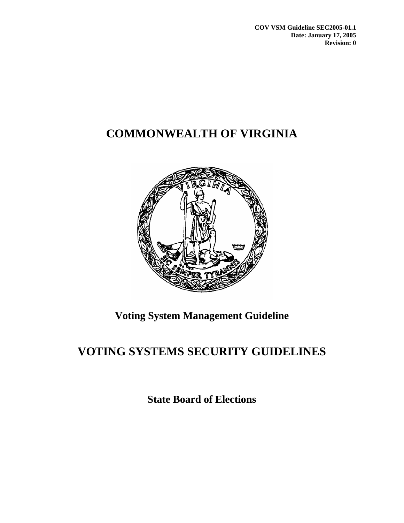**COV VSM Guideline SEC2005-01.1 Date: January 17, 2005 Revision: 0** 

# **COMMONWEALTH OF VIRGINIA**



## **Voting System Management Guideline**

# **VOTING SYSTEMS SECURITY GUIDELINES**

**State Board of Elections**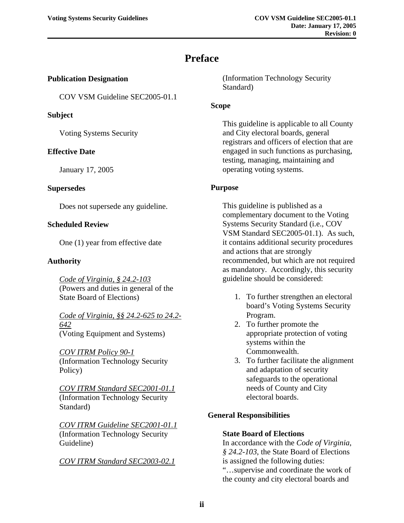## **Preface**

#### <span id="page-1-0"></span>**Publication Designation**

COV VSM Guideline SEC2005-01.1

#### **Subject**

Voting Systems Security

#### **Effective Date**

January 17, 2005

#### **Supersedes**

Does not supersede any guideline.

#### **Scheduled Review**

One (1) year from effective date

#### **Authority**

*Code of Virginia, § 24.2-103* (Powers and duties in general of the State Board of Elections)

*Code of Virginia, §§ 24.2-625 to 24.2- 642* (Voting Equipment and Systems)

*COV ITRM Policy 90-1* (Information Technology Security Policy)

*COV ITRM Standard SEC2001-01.1* (Information Technology Security Standard)

*COV ITRM Guideline SEC2001-01.1* (Information Technology Security Guideline)

*COV ITRM Standard SEC2003-02.1*

(Information Technology Security Standard)

#### **Scope**

This guideline is applicable to all County and City electoral boards, general registrars and officers of election that are engaged in such functions as purchasing, testing, managing, maintaining and operating voting systems.

#### **Purpose**

This guideline is published as a complementary document to the Voting Systems Security Standard (i.e., COV VSM Standard SEC2005-01.1). As such, it contains additional security procedures and actions that are strongly recommended, but which are not required as mandatory. Accordingly, this security guideline should be considered:

- 1. To further strengthen an electoral board's Voting Systems Security Program.
- 2. To further promote the appropriate protection of voting systems within the Commonwealth.
- 3. To further facilitate the alignment and adaptation of security safeguards to the operational needs of County and City electoral boards.

#### **General Responsibilities**

#### **State Board of Elections**

In accordance with the *Code of Virginia*, *§ 24.2-103*, the State Board of Elections is assigned the following duties: "…supervise and coordinate the work of the county and city electoral boards and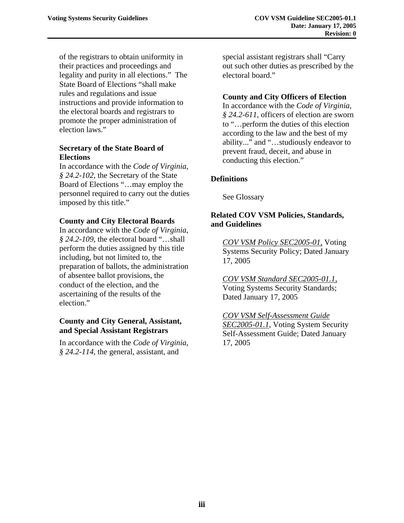of the registrars to obtain uniformity in their practices and proceedings and legality and purity in all elections." The State Board of Elections "shall make rules and regulations and issue instructions and provide information to the electoral boards and registrars to promote the proper administration of election laws."

#### **Secretary of the State Board of Elections**

In accordance with the *Code of Virginia*, *§ 24.2-102*, the Secretary of the State Board of Elections "…may employ the personnel required to carry out the duties imposed by this title."

#### **County and City Electoral Boards**

In accordance with the *Code of Virginia*, *§ 24.2-109*, the electoral board "…shall perform the duties assigned by this title including, but not limited to, the preparation of ballots, the administration of absentee ballot provisions, the conduct of the election, and the ascertaining of the results of the election."

#### **County and City General, Assistant, and Special Assistant Registrars**

In accordance with the *Code of Virginia*, *§ 24.2-114*, the general, assistant, and

special assistant registrars shall "Carry out such other duties as prescribed by the electoral board."

#### **County and City Officers of Election**

In accordance with the *Code of Virginia*, *§ 24.2-611*, officers of election are sworn to "…perform the duties of this election according to the law and the best of my ability..." and "…studiously endeavor to prevent fraud, deceit, and abuse in conducting this election."

#### **Definitions**

See Glossary

#### **Related COV VSM Policies, Standards, and Guidelines**

*COV VSM Policy SEC2005-01,* Voting Systems Security Policy; Dated January 17, 2005

*COV VSM Standard SEC2005-01.1,* Voting Systems Security Standards; Dated January 17, 2005

*COV VSM Self-Assessment Guide SEC2005-01.1*, Voting System Security Self-Assessment Guide; Dated January 17, 2005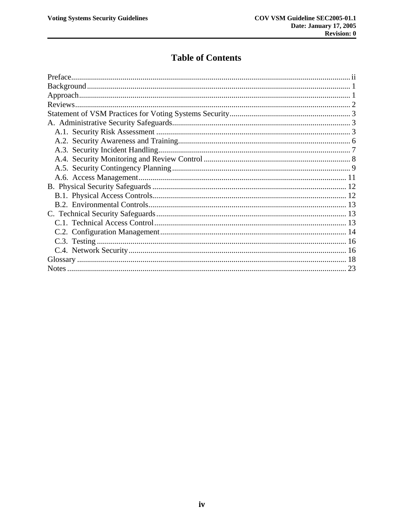### **Table of Contents**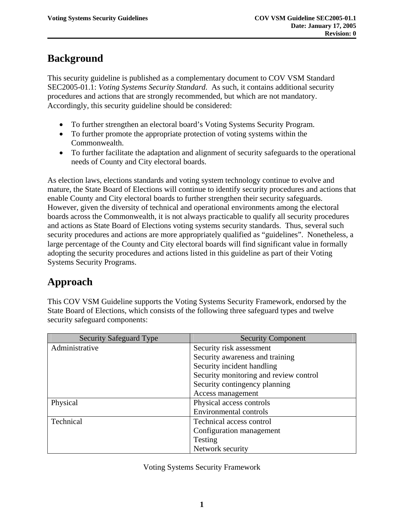## <span id="page-4-0"></span>**Background**

This security guideline is published as a complementary document to COV VSM Standard SEC2005-01.1: *Voting Systems Security Standard*. As such, it contains additional security procedures and actions that are strongly recommended, but which are not mandatory. Accordingly, this security guideline should be considered:

- To further strengthen an electoral board's Voting Systems Security Program.
- To further promote the appropriate protection of voting systems within the Commonwealth.
- To further facilitate the adaptation and alignment of security safeguards to the operational needs of County and City electoral boards.

As election laws, elections standards and voting system technology continue to evolve and mature, the State Board of Elections will continue to identify security procedures and actions that enable County and City electoral boards to further strengthen their security safeguards. However, given the diversity of technical and operational environments among the electoral boards across the Commonwealth, it is not always practicable to qualify all security procedures and actions as State Board of Elections voting systems security standards. Thus, several such security procedures and actions are more appropriately qualified as "guidelines". Nonetheless, a large percentage of the County and City electoral boards will find significant value in formally adopting the security procedures and actions listed in this guideline as part of their Voting Systems Security Programs.

## **Approach**

This COV VSM Guideline supports the Voting Systems Security Framework, endorsed by the State Board of Elections, which consists of the following three safeguard types and twelve security safeguard components:

| <b>Security Safeguard Type</b> | <b>Security Component</b>              |
|--------------------------------|----------------------------------------|
| Administrative                 | Security risk assessment               |
|                                | Security awareness and training        |
|                                | Security incident handling             |
|                                | Security monitoring and review control |
|                                | Security contingency planning          |
|                                | Access management                      |
| Physical                       | Physical access controls               |
|                                | <b>Environmental controls</b>          |
| Technical                      | Technical access control               |
|                                | Configuration management               |
|                                | Testing                                |
|                                | Network security                       |

Voting Systems Security Framework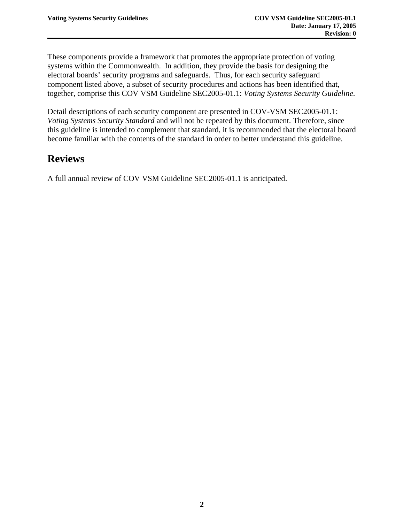<span id="page-5-0"></span>These components provide a framework that promotes the appropriate protection of voting systems within the Commonwealth. In addition, they provide the basis for designing the electoral boards' security programs and safeguards. Thus, for each security safeguard component listed above, a subset of security procedures and actions has been identified that, together, comprise this COV VSM Guideline SEC2005-01.1: *Voting Systems Security Guideline*.

Detail descriptions of each security component are presented in COV-VSM SEC2005-01.1: *Voting Systems Security Standard* and will not be repeated by this document. Therefore, since this guideline is intended to complement that standard, it is recommended that the electoral board become familiar with the contents of the standard in order to better understand this guideline.

## **Reviews**

A full annual review of COV VSM Guideline SEC2005-01.1 is anticipated.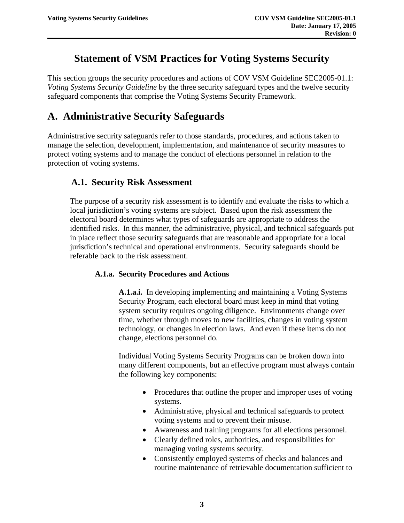## **Statement of VSM Practices for Voting Systems Security**

<span id="page-6-0"></span>This section groups the security procedures and actions of COV VSM Guideline SEC2005-01.1: *Voting Systems Security Guideline* by the three security safeguard types and the twelve security safeguard components that comprise the Voting Systems Security Framework.

## **A. Administrative Security Safeguards**

Administrative security safeguards refer to those standards, procedures, and actions taken to manage the selection, development, implementation, and maintenance of security measures to protect voting systems and to manage the conduct of elections personnel in relation to the protection of voting systems.

### **A.1. Security Risk Assessment**

The purpose of a security risk assessment is to identify and evaluate the risks to which a local jurisdiction's voting systems are subject. Based upon the risk assessment the electoral board determines what types of safeguards are appropriate to address the identified risks. In this manner, the administrative, physical, and technical safeguards put in place reflect those security safeguards that are reasonable and appropriate for a local jurisdiction's technical and operational environments. Security safeguards should be referable back to the risk assessment.

#### **A.1.a. Security Procedures and Actions**

**A.1.a.i.** In developing implementing and maintaining a Voting Systems Security Program, each electoral board must keep in mind that voting system security requires ongoing diligence. Environments change over time, whether through moves to new facilities, changes in voting system technology, or changes in election laws. And even if these items do not change, elections personnel do.

Individual Voting Systems Security Programs can be broken down into many different components, but an effective program must always contain the following key components:

- Procedures that outline the proper and improper uses of voting systems.
- Administrative, physical and technical safeguards to protect voting systems and to prevent their misuse.
- Awareness and training programs for all elections personnel.
- Clearly defined roles, authorities, and responsibilities for managing voting systems security.
- Consistently employed systems of checks and balances and routine maintenance of retrievable documentation sufficient to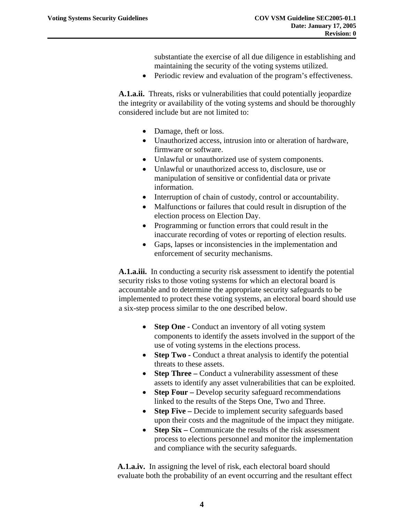substantiate the exercise of all due diligence in establishing and maintaining the security of the voting systems utilized.

• Periodic review and evaluation of the program's effectiveness.

**A.1.a.ii.** Threats, risks or vulnerabilities that could potentially jeopardize the integrity or availability of the voting systems and should be thoroughly considered include but are not limited to:

- Damage, theft or loss.
- Unauthorized access, intrusion into or alteration of hardware, firmware or software.
- Unlawful or unauthorized use of system components.
- Unlawful or unauthorized access to, disclosure, use or manipulation of sensitive or confidential data or private information.
- Interruption of chain of custody, control or accountability.
- Malfunctions or failures that could result in disruption of the election process on Election Day.
- Programming or function errors that could result in the inaccurate recording of votes or reporting of election results.
- Gaps, lapses or inconsistencies in the implementation and enforcement of security mechanisms.

**A.1.a.iii.** In conducting a security risk assessment to identify the potential security risks to those voting systems for which an electoral board is accountable and to determine the appropriate security safeguards to be implemented to protect these voting systems, an electoral board should use a six-step process similar to the one described below.

- **Step One Conduct an inventory of all voting system** components to identify the assets involved in the support of the use of voting systems in the elections process.
- **Step Two Conduct a threat analysis to identify the potential** threats to these assets.
- **Step Three** Conduct a vulnerability assessment of these assets to identify any asset vulnerabilities that can be exploited.
- **Step Four** Develop security safeguard recommendations linked to the results of the Steps One, Two and Three.
- **Step Five** Decide to implement security safeguards based upon their costs and the magnitude of the impact they mitigate.
- **Step Six** Communicate the results of the risk assessment process to elections personnel and monitor the implementation and compliance with the security safeguards.

**A.1.a.iv.** In assigning the level of risk, each electoral board should evaluate both the probability of an event occurring and the resultant effect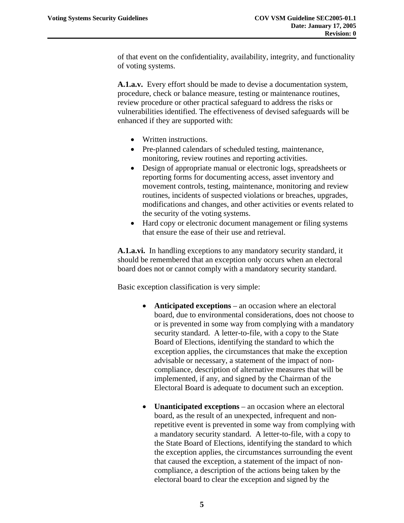of that event on the confidentiality, availability, integrity, and functionality of voting systems.

**A.1.a.v.** Every effort should be made to devise a documentation system, procedure, check or balance measure, testing or maintenance routines, review procedure or other practical safeguard to address the risks or vulnerabilities identified. The effectiveness of devised safeguards will be enhanced if they are supported with:

- Written instructions.
- Pre-planned calendars of scheduled testing, maintenance, monitoring, review routines and reporting activities.
- Design of appropriate manual or electronic logs, spreadsheets or reporting forms for documenting access, asset inventory and movement controls, testing, maintenance, monitoring and review routines, incidents of suspected violations or breaches, upgrades, modifications and changes, and other activities or events related to the security of the voting systems.
- Hard copy or electronic document management or filing systems that ensure the ease of their use and retrieval.

**A.1.a.vi.** In handling exceptions to any mandatory security standard, it should be remembered that an exception only occurs when an electoral board does not or cannot comply with a mandatory security standard.

Basic exception classification is very simple:

- **Anticipated exceptions** an occasion where an electoral board, due to environmental considerations, does not choose to or is prevented in some way from complying with a mandatory security standard. A letter-to-file, with a copy to the State Board of Elections, identifying the standard to which the exception applies, the circumstances that make the exception advisable or necessary, a statement of the impact of noncompliance, description of alternative measures that will be implemented, if any, and signed by the Chairman of the Electoral Board is adequate to document such an exception.
- **Unanticipated exceptions** an occasion where an electoral board, as the result of an unexpected, infrequent and nonrepetitive event is prevented in some way from complying with a mandatory security standard. A letter-to-file, with a copy to the State Board of Elections, identifying the standard to which the exception applies, the circumstances surrounding the event that caused the exception, a statement of the impact of noncompliance, a description of the actions being taken by the electoral board to clear the exception and signed by the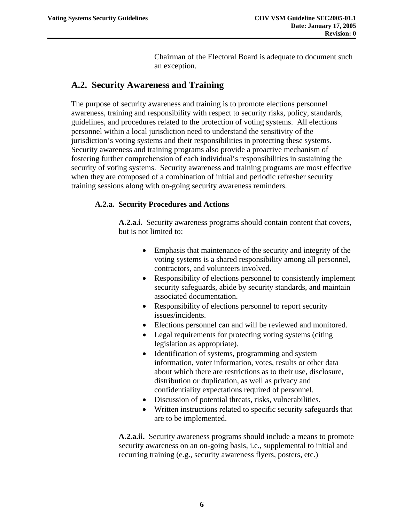Chairman of the Electoral Board is adequate to document such an exception.

### <span id="page-9-0"></span>**A.2. Security Awareness and Training**

The purpose of security awareness and training is to promote elections personnel awareness, training and responsibility with respect to security risks, policy, standards, guidelines, and procedures related to the protection of voting systems. All elections personnel within a local jurisdiction need to understand the sensitivity of the jurisdiction's voting systems and their responsibilities in protecting these systems. Security awareness and training programs also provide a proactive mechanism of fostering further comprehension of each individual's responsibilities in sustaining the security of voting systems. Security awareness and training programs are most effective when they are composed of a combination of initial and periodic refresher security training sessions along with on-going security awareness reminders.

#### **A.2.a. Security Procedures and Actions**

**A.2.a.i.** Security awareness programs should contain content that covers, but is not limited to:

- Emphasis that maintenance of the security and integrity of the voting systems is a shared responsibility among all personnel, contractors, and volunteers involved.
- Responsibility of elections personnel to consistently implement security safeguards, abide by security standards, and maintain associated documentation.
- Responsibility of elections personnel to report security issues/incidents.
- Elections personnel can and will be reviewed and monitored.
- Legal requirements for protecting voting systems (citing legislation as appropriate).
- Identification of systems, programming and system information, voter information, votes, results or other data about which there are restrictions as to their use, disclosure, distribution or duplication, as well as privacy and confidentiality expectations required of personnel.
- Discussion of potential threats, risks, vulnerabilities.
- Written instructions related to specific security safeguards that are to be implemented.

**A.2.a.ii.** Security awareness programs should include a means to promote security awareness on an on-going basis, i.e., supplemental to initial and recurring training (e.g., security awareness flyers, posters, etc.)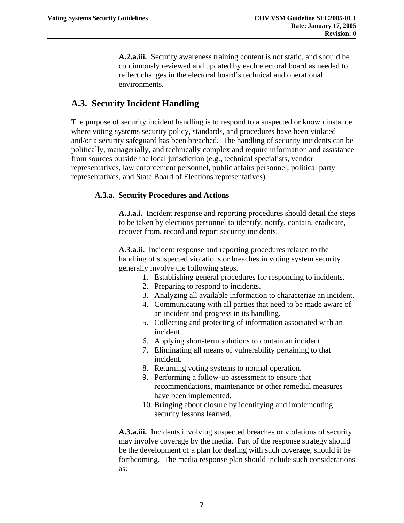**A.2.a.iii.** Security awareness training content is not static, and should be continuously reviewed and updated by each electoral board as needed to reflect changes in the electoral board's technical and operational environments.

### <span id="page-10-0"></span>**A.3. Security Incident Handling**

The purpose of security incident handling is to respond to a suspected or known instance where voting systems security policy, standards, and procedures have been violated and/or a security safeguard has been breached. The handling of security incidents can be politically, managerially, and technically complex and require information and assistance from sources outside the local jurisdiction (e.g., technical specialists, vendor representatives, law enforcement personnel, public affairs personnel, political party representatives, and State Board of Elections representatives).

#### **A.3.a. Security Procedures and Actions**

**A.3.a.i.** Incident response and reporting procedures should detail the steps to be taken by elections personnel to identify, notify, contain, eradicate, recover from, record and report security incidents.

**A.3.a.ii.** Incident response and reporting procedures related to the handling of suspected violations or breaches in voting system security generally involve the following steps.

- 1. Establishing general procedures for responding to incidents.
- 2. Preparing to respond to incidents.
- 3. Analyzing all available information to characterize an incident.
- 4. Communicating with all parties that need to be made aware of an incident and progress in its handling.
- 5. Collecting and protecting of information associated with an incident.
- 6. Applying short-term solutions to contain an incident.
- 7. Eliminating all means of vulnerability pertaining to that incident.
- 8. Returning voting systems to normal operation.
- 9. Performing a follow-up assessment to ensure that recommendations, maintenance or other remedial measures have been implemented.
- 10. Bringing about closure by identifying and implementing security lessons learned.

**A.3.a.iii.** Incidents involving suspected breaches or violations of security may involve coverage by the media. Part of the response strategy should be the development of a plan for dealing with such coverage, should it be forthcoming. The media response plan should include such considerations as: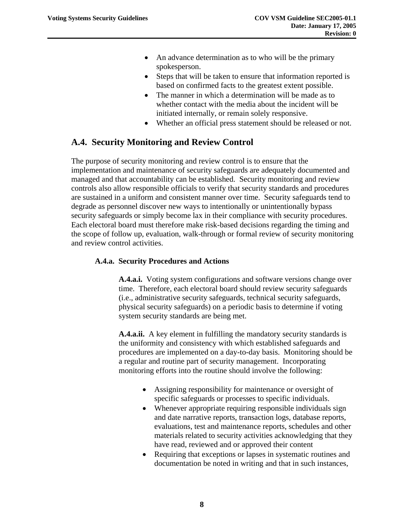- <span id="page-11-0"></span>• An advance determination as to who will be the primary spokesperson.
- Steps that will be taken to ensure that information reported is based on confirmed facts to the greatest extent possible.
- The manner in which a determination will be made as to whether contact with the media about the incident will be initiated internally, or remain solely responsive.
- Whether an official press statement should be released or not.

### **A.4. Security Monitoring and Review Control**

The purpose of security monitoring and review control is to ensure that the implementation and maintenance of security safeguards are adequately documented and managed and that accountability can be established. Security monitoring and review controls also allow responsible officials to verify that security standards and procedures are sustained in a uniform and consistent manner over time. Security safeguards tend to degrade as personnel discover new ways to intentionally or unintentionally bypass security safeguards or simply become lax in their compliance with security procedures. Each electoral board must therefore make risk-based decisions regarding the timing and the scope of follow up, evaluation, walk-through or formal review of security monitoring and review control activities.

#### **A.4.a. Security Procedures and Actions**

**A.4.a.i.** Voting system configurations and software versions change over time. Therefore, each electoral board should review security safeguards (i.e., administrative security safeguards, technical security safeguards, physical security safeguards) on a periodic basis to determine if voting system security standards are being met.

**A.4.a.ii.** A key element in fulfilling the mandatory security standards is the uniformity and consistency with which established safeguards and procedures are implemented on a day-to-day basis. Monitoring should be a regular and routine part of security management. Incorporating monitoring efforts into the routine should involve the following:

- Assigning responsibility for maintenance or oversight of specific safeguards or processes to specific individuals.
- Whenever appropriate requiring responsible individuals sign and date narrative reports, transaction logs, database reports, evaluations, test and maintenance reports, schedules and other materials related to security activities acknowledging that they have read, reviewed and or approved their content
- Requiring that exceptions or lapses in systematic routines and documentation be noted in writing and that in such instances,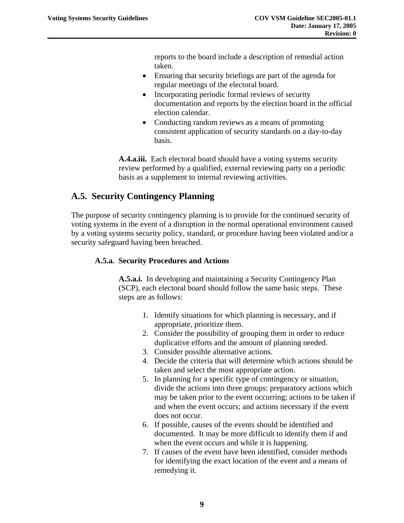reports to the board include a description of remedial action taken.

- <span id="page-12-0"></span>• Ensuring that security briefings are part of the agenda for regular meetings of the electoral board.
- Incorporating periodic formal reviews of security documentation and reports by the election board in the official election calendar.
- Conducting random reviews as a means of promoting consistent application of security standards on a day-to-day basis.

**A.4.a.iii.** Each electoral board should have a voting systems security review performed by a qualified, external reviewing party on a periodic basis as a supplement to internal reviewing activities.

### **A.5. Security Contingency Planning**

The purpose of security contingency planning is to provide for the continued security of voting systems in the event of a disruption in the normal operational environment caused by a voting systems security policy, standard, or procedure having been violated and/or a security safeguard having been breached.

#### **A.5.a. Security Procedures and Actions**

**A.5.a.i.** In developing and maintaining a Security Contingency Plan (SCP), each electoral board should follow the same basic steps. These steps are as follows:

- 1. Identify situations for which planning is necessary, and if appropriate, prioritize them.
- 2. Consider the possibility of grouping them in order to reduce duplicative efforts and the amount of planning needed.
- 3. Consider possible alternative actions.
- 4. Decide the criteria that will determine which actions should be taken and select the most appropriate action.
- 5. In planning for a specific type of contingency or situation, divide the actions into three groups: preparatory actions which may be taken prior to the event occurring; actions to be taken if and when the event occurs; and actions necessary if the event does not occur.
- 6. If possible, causes of the events should be identified and documented. It may be more difficult to identify them if and when the event occurs and while it is happening.
- 7. If causes of the event have been identified, consider methods for identifying the exact location of the event and a means of remedying it.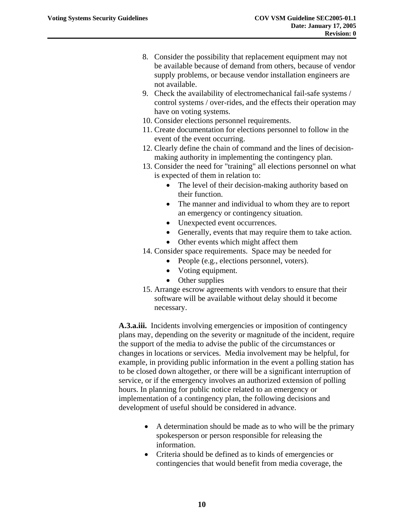- 8. Consider the possibility that replacement equipment may not be available because of demand from others, because of vendor supply problems, or because vendor installation engineers are not available.
- 9. Check the availability of electromechanical fail-safe systems / control systems / over-rides, and the effects their operation may have on voting systems.
- 10. Consider elections personnel requirements.
- 11. Create documentation for elections personnel to follow in the event of the event occurring.
- 12. Clearly define the chain of command and the lines of decisionmaking authority in implementing the contingency plan.
- 13. Consider the need for "training" all elections personnel on what is expected of them in relation to:
	- The level of their decision-making authority based on their function.
	- The manner and individual to whom they are to report an emergency or contingency situation.
	- Unexpected event occurrences.
	- Generally, events that may require them to take action.
	- Other events which might affect them
- 14. Consider space requirements. Space may be needed for
	- People (e.g., elections personnel, voters).
	- Voting equipment.
	- Other supplies
- 15. Arrange escrow agreements with vendors to ensure that their software will be available without delay should it become necessary.

**A.3.a.iii.** Incidents involving emergencies or imposition of contingency plans may, depending on the severity or magnitude of the incident, require the support of the media to advise the public of the circumstances or changes in locations or services. Media involvement may be helpful, for example, in providing public information in the event a polling station has to be closed down altogether, or there will be a significant interruption of service, or if the emergency involves an authorized extension of polling hours. In planning for public notice related to an emergency or implementation of a contingency plan, the following decisions and development of useful should be considered in advance.

- A determination should be made as to who will be the primary spokesperson or person responsible for releasing the information.
- Criteria should be defined as to kinds of emergencies or contingencies that would benefit from media coverage, the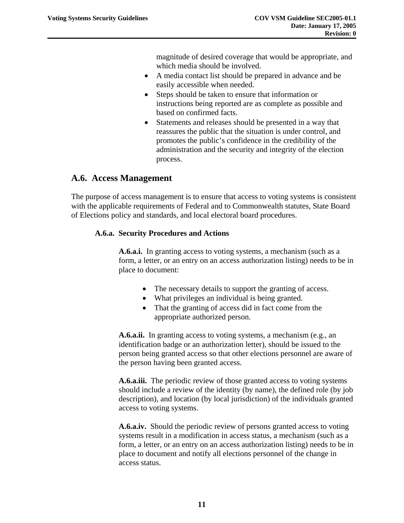magnitude of desired coverage that would be appropriate, and which media should be involved.

- <span id="page-14-0"></span>• A media contact list should be prepared in advance and be easily accessible when needed.
- Steps should be taken to ensure that information or instructions being reported are as complete as possible and based on confirmed facts.
- Statements and releases should be presented in a way that reassures the public that the situation is under control, and promotes the public's confidence in the credibility of the administration and the security and integrity of the election process.

### **A.6. Access Management**

The purpose of access management is to ensure that access to voting systems is consistent with the applicable requirements of Federal and to Commonwealth statutes, State Board of Elections policy and standards, and local electoral board procedures.

#### **A.6.a. Security Procedures and Actions**

**A.6.a.i.** In granting access to voting systems, a mechanism (such as a form, a letter, or an entry on an access authorization listing) needs to be in place to document:

- The necessary details to support the granting of access.
- What privileges an individual is being granted.
- That the granting of access did in fact come from the appropriate authorized person.

**A.6.a.ii.** In granting access to voting systems, a mechanism (e.g., an identification badge or an authorization letter), should be issued to the person being granted access so that other elections personnel are aware of the person having been granted access.

**A.6.a.iii.** The periodic review of those granted access to voting systems should include a review of the identity (by name), the defined role (by job description), and location (by local jurisdiction) of the individuals granted access to voting systems.

**A.6.a.iv.** Should the periodic review of persons granted access to voting systems result in a modification in access status, a mechanism (such as a form, a letter, or an entry on an access authorization listing) needs to be in place to document and notify all elections personnel of the change in access status.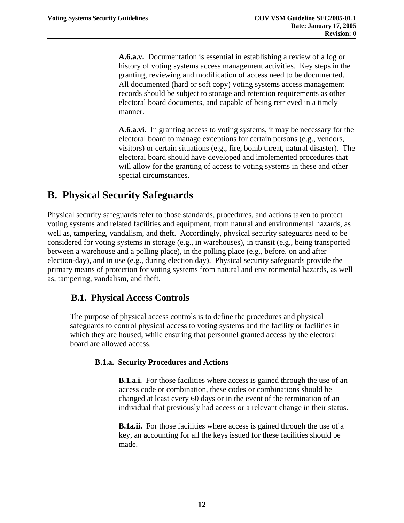<span id="page-15-0"></span>**A.6.a.v.** Documentation is essential in establishing a review of a log or history of voting systems access management activities. Key steps in the granting, reviewing and modification of access need to be documented. All documented (hard or soft copy) voting systems access management records should be subject to storage and retention requirements as other electoral board documents, and capable of being retrieved in a timely manner.

**A.6.a.vi.** In granting access to voting systems, it may be necessary for the electoral board to manage exceptions for certain persons (e.g., vendors, visitors) or certain situations (e.g., fire, bomb threat, natural disaster). The electoral board should have developed and implemented procedures that will allow for the granting of access to voting systems in these and other special circumstances.

## **B. Physical Security Safeguards**

Physical security safeguards refer to those standards, procedures, and actions taken to protect voting systems and related facilities and equipment, from natural and environmental hazards, as well as, tampering, vandalism, and theft. Accordingly, physical security safeguards need to be considered for voting systems in storage (e.g., in warehouses), in transit (e.g., being transported between a warehouse and a polling place), in the polling place (e.g., before, on and after election-day), and in use (e.g., during election day). Physical security safeguards provide the primary means of protection for voting systems from natural and environmental hazards, as well as, tampering, vandalism, and theft.

### **B.1. Physical Access Controls**

The purpose of physical access controls is to define the procedures and physical safeguards to control physical access to voting systems and the facility or facilities in which they are housed, while ensuring that personnel granted access by the electoral board are allowed access.

#### **B.1.a. Security Procedures and Actions**

**B.1.a.i.** For those facilities where access is gained through the use of an access code or combination, these codes or combinations should be changed at least every 60 days or in the event of the termination of an individual that previously had access or a relevant change in their status.

**B.1a.ii.** For those facilities where access is gained through the use of a key, an accounting for all the keys issued for these facilities should be made.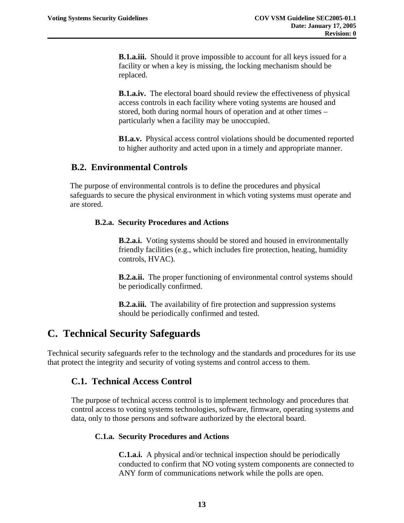<span id="page-16-0"></span>**B.1.a.iii.** Should it prove impossible to account for all keys issued for a facility or when a key is missing, the locking mechanism should be replaced.

**B.1.a.iv.** The electoral board should review the effectiveness of physical access controls in each facility where voting systems are housed and stored, both during normal hours of operation and at other times – particularly when a facility may be unoccupied.

**B1.a.v.** Physical access control violations should be documented reported to higher authority and acted upon in a timely and appropriate manner.

#### **B.2. Environmental Controls**

The purpose of environmental controls is to define the procedures and physical safeguards to secure the physical environment in which voting systems must operate and are stored.

#### **B.2.a. Security Procedures and Actions**

**B.2.a.i.** Voting systems should be stored and housed in environmentally friendly facilities (e.g., which includes fire protection, heating, humidity controls, HVAC).

**B.2.a.ii.** The proper functioning of environmental control systems should be periodically confirmed.

**B.2.a.iii.** The availability of fire protection and suppression systems should be periodically confirmed and tested.

## **C. Technical Security Safeguards**

Technical security safeguards refer to the technology and the standards and procedures for its use that protect the integrity and security of voting systems and control access to them.

#### **C.1. Technical Access Control**

The purpose of technical access control is to implement technology and procedures that control access to voting systems technologies, software, firmware, operating systems and data, only to those persons and software authorized by the electoral board.

#### **C.1.a. Security Procedures and Actions**

**C.1.a.i.** A physical and/or technical inspection should be periodically conducted to confirm that NO voting system components are connected to ANY form of communications network while the polls are open.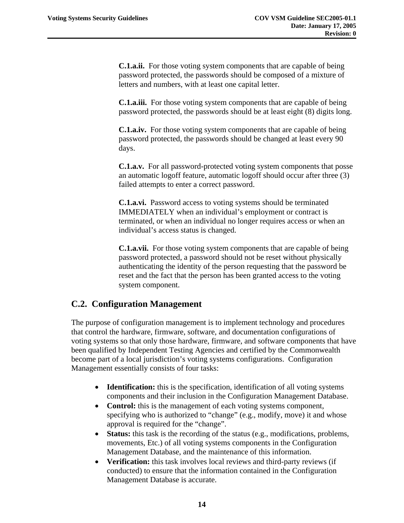<span id="page-17-0"></span>**C.1.a.ii.** For those voting system components that are capable of being password protected, the passwords should be composed of a mixture of letters and numbers, with at least one capital letter.

**C.1.a.iii.** For those voting system components that are capable of being password protected, the passwords should be at least eight (8) digits long.

**C.1.a.iv.** For those voting system components that are capable of being password protected, the passwords should be changed at least every 90 days.

**C.1.a.v.** For all password-protected voting system components that posse an automatic logoff feature, automatic logoff should occur after three (3) failed attempts to enter a correct password.

**C.1.a.vi.** Password access to voting systems should be terminated IMMEDIATELY when an individual's employment or contract is terminated, or when an individual no longer requires access or when an individual's access status is changed.

**C.1.a.vii.** For those voting system components that are capable of being password protected, a password should not be reset without physically authenticating the identity of the person requesting that the password be reset and the fact that the person has been granted access to the voting system component.

### **C.2. Configuration Management**

The purpose of configuration management is to implement technology and procedures that control the hardware, firmware, software, and documentation configurations of voting systems so that only those hardware, firmware, and software components that have been qualified by Independent Testing Agencies and certified by the Commonwealth become part of a local jurisdiction's voting systems configurations. Configuration Management essentially consists of four tasks:

- **Identification:** this is the specification, identification of all voting systems components and their inclusion in the Configuration Management Database.
- **Control:** this is the management of each voting systems component, specifying who is authorized to "change" (e.g., modify, move) it and whose approval is required for the "change".
- **Status:** this task is the recording of the status (e.g., modifications, problems, movements, Etc.) of all voting systems components in the Configuration Management Database, and the maintenance of this information.
- **Verification:** this task involves local reviews and third-party reviews (if conducted) to ensure that the information contained in the Configuration Management Database is accurate.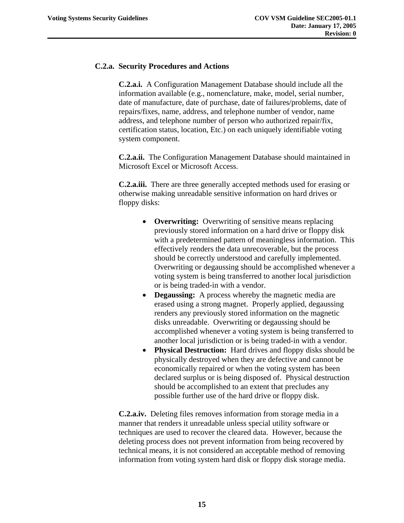#### **C.2.a. Security Procedures and Actions**

**C.2.a.i.** A Configuration Management Database should include all the information available (e.g., nomenclature, make, model, serial number, date of manufacture, date of purchase, date of failures/problems, date of repairs/fixes, name, address, and telephone number of vendor, name address, and telephone number of person who authorized repair/fix, certification status, location, Etc.) on each uniquely identifiable voting system component.

**C.2.a.ii.** The Configuration Management Database should maintained in Microsoft Excel or Microsoft Access.

**C.2.a.iii.** There are three generally accepted methods used for erasing or otherwise making unreadable sensitive information on hard drives or floppy disks:

- **Overwriting:** Overwriting of sensitive means replacing previously stored information on a hard drive or floppy disk with a predetermined pattern of meaningless information. This effectively renders the data unrecoverable, but the process should be correctly understood and carefully implemented. Overwriting or degaussing should be accomplished whenever a voting system is being transferred to another local jurisdiction or is being traded-in with a vendor.
- **Degaussing:** A process whereby the magnetic media are erased using a strong magnet. Properly applied, degaussing renders any previously stored information on the magnetic disks unreadable. Overwriting or degaussing should be accomplished whenever a voting system is being transferred to another local jurisdiction or is being traded-in with a vendor.
- **Physical Destruction:** Hard drives and floppy disks should be physically destroyed when they are defective and cannot be economically repaired or when the voting system has been declared surplus or is being disposed of. Physical destruction should be accomplished to an extent that precludes any possible further use of the hard drive or floppy disk.

**C.2.a.iv.** Deleting files removes information from storage media in a manner that renders it unreadable unless special utility software or techniques are used to recover the cleared data. However, because the deleting process does not prevent information from being recovered by technical means, it is not considered an acceptable method of removing information from voting system hard disk or floppy disk storage media.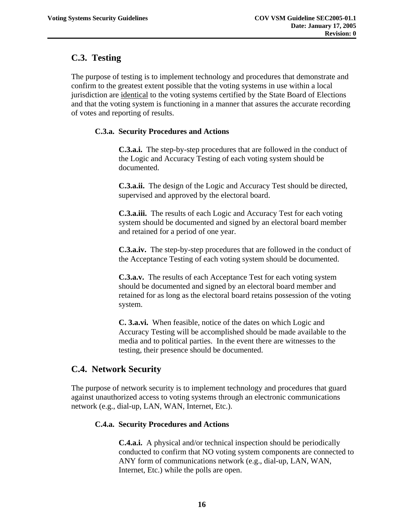### <span id="page-19-0"></span>**C.3. Testing**

The purpose of testing is to implement technology and procedures that demonstrate and confirm to the greatest extent possible that the voting systems in use within a local jurisdiction are identical to the voting systems certified by the State Board of Elections and that the voting system is functioning in a manner that assures the accurate recording of votes and reporting of results.

#### **C.3.a. Security Procedures and Actions**

**C.3.a.i.** The step-by-step procedures that are followed in the conduct of the Logic and Accuracy Testing of each voting system should be documented.

**C.3.a.ii.** The design of the Logic and Accuracy Test should be directed, supervised and approved by the electoral board.

**C.3.a.iii.** The results of each Logic and Accuracy Test for each voting system should be documented and signed by an electoral board member and retained for a period of one year.

**C.3.a.iv.** The step-by-step procedures that are followed in the conduct of the Acceptance Testing of each voting system should be documented.

**C.3.a.v.** The results of each Acceptance Test for each voting system should be documented and signed by an electoral board member and retained for as long as the electoral board retains possession of the voting system.

**C. 3.a.vi.** When feasible, notice of the dates on which Logic and Accuracy Testing will be accomplished should be made available to the media and to political parties. In the event there are witnesses to the testing, their presence should be documented.

### **C.4. Network Security**

The purpose of network security is to implement technology and procedures that guard against unauthorized access to voting systems through an electronic communications network (e.g., dial-up, LAN, WAN, Internet, Etc.).

#### **C.4.a. Security Procedures and Actions**

**C.4.a.i.** A physical and/or technical inspection should be periodically conducted to confirm that NO voting system components are connected to ANY form of communications network (e.g., dial-up, LAN, WAN, Internet, Etc.) while the polls are open.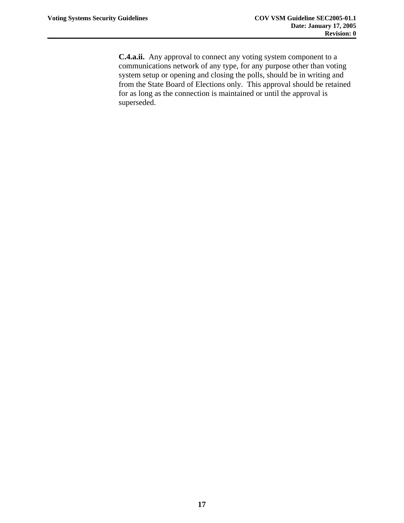**C.4.a.ii.** Any approval to connect any voting system component to a communications network of any type, for any purpose other than voting system setup or opening and closing the polls, should be in writing and from the State Board of Elections only. This approval should be retained for as long as the connection is maintained or until the approval is superseded.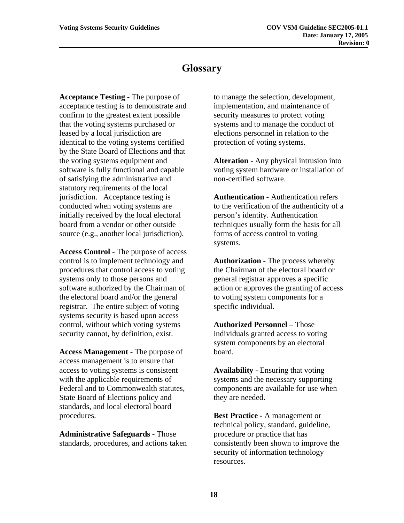## **Glossary**

<span id="page-21-0"></span>**Acceptance Testing -** The purpose of acceptance testing is to demonstrate and confirm to the greatest extent possible that the voting systems purchased or leased by a local jurisdiction are identical to the voting systems certified by the State Board of Elections and that the voting systems equipment and software is fully functional and capable of satisfying the administrative and statutory requirements of the local jurisdiction. Acceptance testing is conducted when voting systems are initially received by the local electoral board from a vendor or other outside source (e.g., another local jurisdiction).

**Access Control -** The purpose of access control is to implement technology and procedures that control access to voting systems only to those persons and software authorized by the Chairman of the electoral board and/or the general registrar. The entire subject of voting systems security is based upon access control, without which voting systems security cannot, by definition, exist.

**Access Management -** The purpose of access management is to ensure that access to voting systems is consistent with the applicable requirements of Federal and to Commonwealth statutes, State Board of Elections policy and standards, and local electoral board procedures.

**Administrative Safeguards -** Those standards, procedures, and actions taken to manage the selection, development, implementation, and maintenance of security measures to protect voting systems and to manage the conduct of elections personnel in relation to the protection of voting systems.

**Alteration -** Any physical intrusion into voting system hardware or installation of non-certified software.

**Authentication -** Authentication refers to the verification of the authenticity of a person's identity. Authentication techniques usually form the basis for all forms of access control to voting systems.

**Authorization -** The process whereby the Chairman of the electoral board or general registrar approves a specific action or approves the granting of access to voting system components for a specific individual.

**Authorized Personnel** – Those individuals granted access to voting system components by an electoral board.

**Availability -** Ensuring that voting systems and the necessary supporting components are available for use when they are needed.

**Best Practice -** A management or technical policy, standard, guideline, procedure or practice that has consistently been shown to improve the security of information technology resources.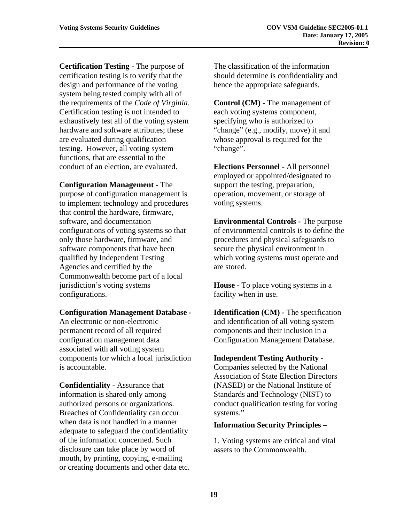**Certification Testing -** The purpose of certification testing is to verify that the design and performance of the voting system being tested comply with all of the requirements of the *Code of Virginia*. Certification testing is not intended to exhaustively test all of the voting system hardware and software attributes; these are evaluated during qualification testing. However, all voting system functions, that are essential to the conduct of an election, are evaluated.

**Configuration Management -** The purpose of configuration management is to implement technology and procedures that control the hardware, firmware, software, and documentation configurations of voting systems so that only those hardware, firmware, and software components that have been qualified by Independent Testing Agencies and certified by the Commonwealth become part of a local jurisdiction's voting systems configurations.

#### **Configuration Management Database -**

An electronic or non-electronic permanent record of all required configuration management data associated with all voting system components for which a local jurisdiction is accountable.

**Confidentiality -** Assurance that information is shared only among authorized persons or organizations. Breaches of Confidentiality can occur when data is not handled in a manner adequate to safeguard the confidentiality of the information concerned. Such disclosure can take place by word of mouth, by printing, copying, e-mailing or creating documents and other data etc. The classification of the information should determine is confidentiality and hence the appropriate safeguards.

**Control (CM) -** The management of each voting systems component, specifying who is authorized to "change" (e.g., modify, move) it and whose approval is required for the "change".

**Elections Personnel -** All personnel employed or appointed/designated to support the testing, preparation, operation, movement, or storage of voting systems.

**Environmental Controls -** The purpose of environmental controls is to define the procedures and physical safeguards to secure the physical environment in which voting systems must operate and are stored.

**House -** To place voting systems in a facility when in use.

**Identification (CM) -** The specification and identification of all voting system components and their inclusion in a Configuration Management Database.

#### **Independent Testing Authority -**

Companies selected by the National Association of State Election Directors (NASED) or the National Institute of Standards and Technology (NIST) to conduct qualification testing for voting systems."

#### **Information Security Principles –**

1. Voting systems are critical and vital assets to the Commonwealth.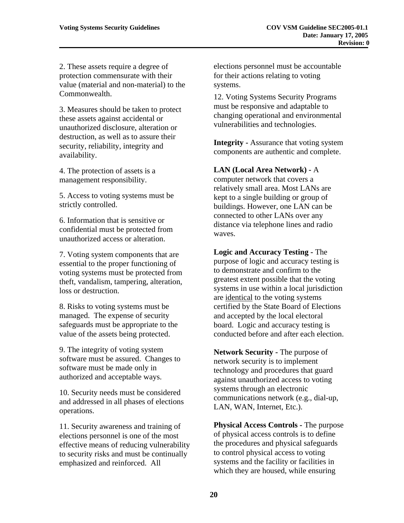2. These assets require a degree of protection commensurate with their value (material and non-material) to the Commonwealth.

3. Measures should be taken to protect these assets against accidental or unauthorized disclosure, alteration or destruction, as well as to assure their security, reliability, integrity and availability.

4. The protection of assets is a management responsibility.

5. Access to voting systems must be strictly controlled.

6. Information that is sensitive or confidential must be protected from unauthorized access or alteration.

7. Voting system components that are essential to the proper functioning of voting systems must be protected from theft, vandalism, tampering, alteration, loss or destruction.

8. Risks to voting systems must be managed. The expense of security safeguards must be appropriate to the value of the assets being protected.

9. The integrity of voting system software must be assured. Changes to software must be made only in authorized and acceptable ways.

10. Security needs must be considered and addressed in all phases of elections operations.

11. Security awareness and training of elections personnel is one of the most effective means of reducing vulnerability to security risks and must be continually emphasized and reinforced. All

elections personnel must be accountable for their actions relating to voting systems.

12. Voting Systems Security Programs must be responsive and adaptable to changing operational and environmental vulnerabilities and technologies.

**Integrity - Assurance that voting system** components are authentic and complete.

**LAN (Local Area Network) -** A

computer network that covers a relatively small area. Most LANs are kept to a single building or group of buildings. However, one LAN can be connected to other LANs over any distance via telephone lines and radio waves.

**Logic and Accuracy Testing -** The purpose of logic and accuracy testing is to demonstrate and confirm to the greatest extent possible that the voting systems in use within a local jurisdiction are identical to the voting systems certified by the State Board of Elections and accepted by the local electoral board. Logic and accuracy testing is conducted before and after each election.

**Network Security -** The purpose of network security is to implement technology and procedures that guard against unauthorized access to voting systems through an electronic communications network (e.g., dial-up, LAN, WAN, Internet, Etc.).

**Physical Access Controls -** The purpose of physical access controls is to define the procedures and physical safeguards to control physical access to voting systems and the facility or facilities in which they are housed, while ensuring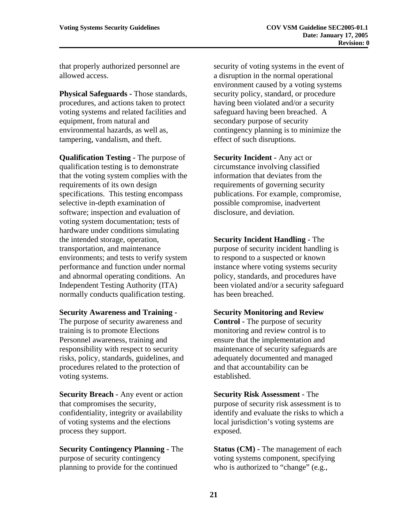that properly authorized personnel are allowed access.

**Physical Safeguards -** Those standards, procedures, and actions taken to protect voting systems and related facilities and equipment, from natural and environmental hazards, as well as, tampering, vandalism, and theft.

**Qualification Testing -** The purpose of qualification testing is to demonstrate that the voting system complies with the requirements of its own design specifications. This testing encompass selective in-depth examination of software; inspection and evaluation of voting system documentation; tests of hardware under conditions simulating the intended storage, operation, transportation, and maintenance environments; and tests to verify system performance and function under normal and abnormal operating conditions. An Independent Testing Authority (ITA) normally conducts qualification testing.

#### **Security Awareness and Training -**

The purpose of security awareness and training is to promote Elections Personnel awareness, training and responsibility with respect to security risks, policy, standards, guidelines, and procedures related to the protection of voting systems.

**Security Breach -** Any event or action that compromises the security, confidentiality, integrity or availability of voting systems and the elections process they support.

**Security Contingency Planning -** The purpose of security contingency planning to provide for the continued

security of voting systems in the event of a disruption in the normal operational environment caused by a voting systems security policy, standard, or procedure having been violated and/or a security safeguard having been breached. A secondary purpose of security contingency planning is to minimize the effect of such disruptions.

**Security Incident - Any act or** circumstance involving classified information that deviates from the requirements of governing security publications. For example, compromise, possible compromise, inadvertent disclosure, and deviation.

**Security Incident Handling -** The purpose of security incident handling is to respond to a suspected or known instance where voting systems security policy, standards, and procedures have been violated and/or a security safeguard has been breached.

#### **Security Monitoring and Review**

**Control -** The purpose of security monitoring and review control is to ensure that the implementation and maintenance of security safeguards are adequately documented and managed and that accountability can be established.

**Security Risk Assessment -** The purpose of security risk assessment is to identify and evaluate the risks to which a local jurisdiction's voting systems are exposed.

**Status (CM) - The management of each** voting systems component, specifying who is authorized to "change" (e.g.,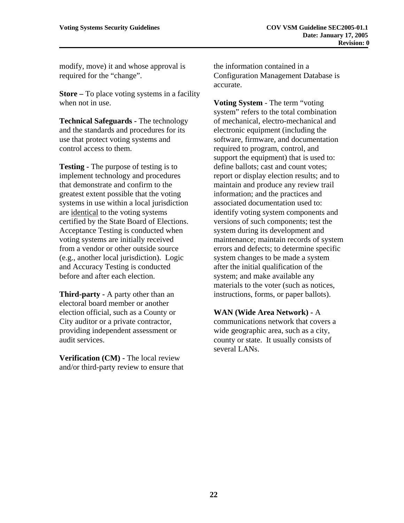modify, move) it and whose approval is required for the "change".

**Store –** To place voting systems in a facility when not in use.

**Technical Safeguards -** The technology and the standards and procedures for its use that protect voting systems and control access to them.

**Testing -** The purpose of testing is to implement technology and procedures that demonstrate and confirm to the greatest extent possible that the voting systems in use within a local jurisdiction are identical to the voting systems certified by the State Board of Elections. Acceptance Testing is conducted when voting systems are initially received from a vendor or other outside source (e.g., another local jurisdiction). Logic and Accuracy Testing is conducted before and after each election.

**Third-party - A party other than an** electoral board member or another election official, such as a County or City auditor or a private contractor, providing independent assessment or audit services.

**Verification (CM) - The local review** and/or third-party review to ensure that the information contained in a Configuration Management Database is accurate.

**Voting System** - The term "voting system" refers to the total combination of mechanical, electro-mechanical and electronic equipment (including the software, firmware, and documentation required to program, control, and support the equipment) that is used to: define ballots; cast and count votes; report or display election results; and to maintain and produce any review trail information; and the practices and associated documentation used to: identify voting system components and versions of such components; test the system during its development and maintenance; maintain records of system errors and defects; to determine specific system changes to be made a system after the initial qualification of the system; and make available any materials to the voter (such as notices, instructions, forms, or paper ballots).

**WAN (Wide Area Network) -** A communications network that covers a wide geographic area, such as a city, county or state. It usually consists of several LANs.